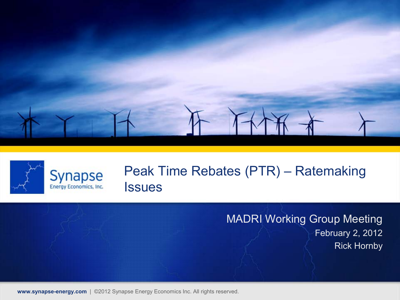



### Peak Time Rebates (PTR) – Ratemaking Issues

MADRI Working Group Meeting February 2, 2012 Rick Hornby

**www.synapse-energy.com** | ©2012 Synapse Energy Economics Inc. All rights reserved.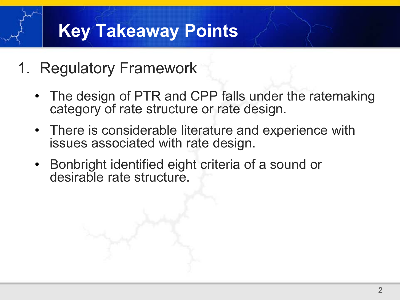# **Key Takeaway Points**

- 1. Regulatory Framework
	- The design of PTR and CPP falls under the ratemaking category of rate structure or rate design.
	- There is considerable literature and experience with issues associated with rate design.
	- Bonbright identified eight criteria of a sound or desirable rate structure.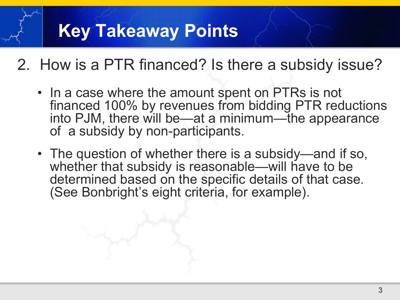# **Key Takeaway Points**

- 2. How is a PTR financed? Is there a subsidy issue?
	- In a case where the amount spent on PTRs is not financed 100% by revenues from bidding PTR reductions into PJM, there will be—at a minimum—the appearance of a subsidy by non-participants.
	- The question of whether there is a subsidy—and if so, whether that subsidy is reasonable—will have to be determined based on the specific details of that case. (See Bonbright's eight criteria, for example).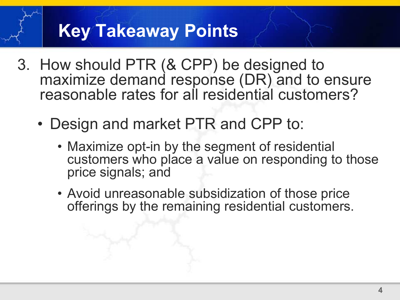## **Key Takeaway Points**

- 3. How should PTR (& CPP) be designed to maximize demand response (DR) and to ensure reasonable rates for all residential customers?
	- Design and market PTR and CPP to:
		- Maximize opt-in by the segment of residential customers who place a value on responding to those price signals; and
		- Avoid unreasonable subsidization of those price offerings by the remaining residential customers.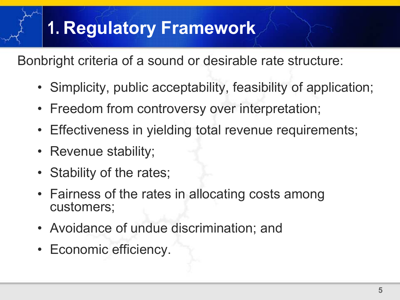# **1. Regulatory Framework**

Bonbright criteria of a sound or desirable rate structure:

- Simplicity, public acceptability, feasibility of application;
- Freedom from controversy over interpretation;
- Effectiveness in yielding total revenue requirements;
- Revenue stability;
- Stability of the rates;
- Fairness of the rates in allocating costs among customers;
- Avoidance of undue discrimination; and
- Economic efficiency.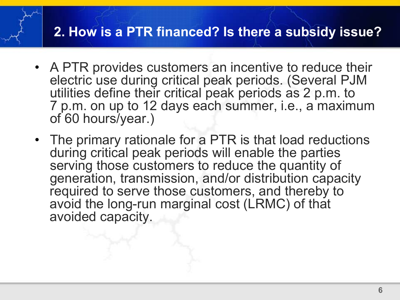### **2. How is a PTR financed? Is there a subsidy issue?**

- A PTR provides customers an incentive to reduce their electric use during critical peak periods. (Several PJM<br>utilities define their critical peak periods as 2 p.m. to 7 p.m. on up to 12 days each summer, i.e., a maximum of 60 hours/year.)
- The primary rationale for a PTR is that load reductions during critical peak periods will enable the parties serving those customers to reduce the quantity of generation, transmission, and/or distribution capacity required to serve those customers, and thereby to avoid the long-run marginal cost (LRMC) of that avoided capacity.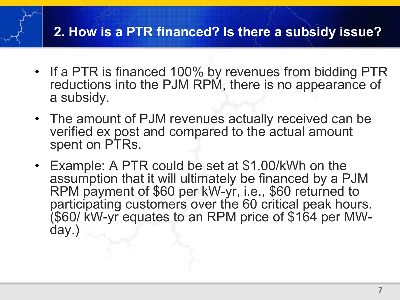### **2. How is a PTR financed? Is there a subsidy issue?**

- If a PTR is financed 100% by revenues from bidding PTR reductions into the PJM RPM, there is no appearance of a subsidy.
- The amount of PJM revenues actually received can be verified ex post and compared to the actual amount spent on PTRs.
- Example: A PTR could be set at \$1.00/kWh on the assumption that it will ultimately be financed by a PJM RPM payment of \$60 per kW-yr, i.e., \$60 returned to participating customers over the 60 critical peak hours. (\$60/ kW-yr equates to an RPM price of \$164 per MW- day.)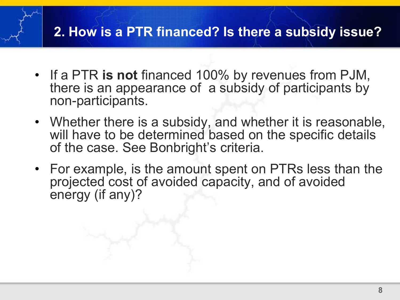### **2. How is a PTR financed? Is there a subsidy issue?**

- If a PTR **is not** financed 100% by revenues from PJM, there is an appearance of a subsidy of participants by non-participants.
- Whether there is a subsidy, and whether it is reasonable, will have to be determined based on the specific details of the case. See Bonbright's criteria.
- For example, is the amount spent on PTRs less than the projected cost of avoided capacity, and of avoided energy (if any)?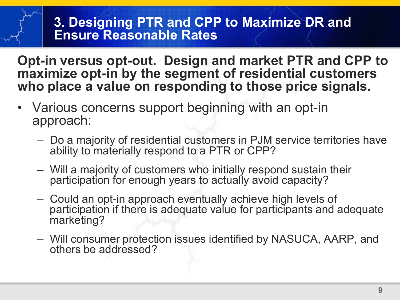#### **3. Designing PTR and CPP to Maximize DR and Ensure Reasonable Rates**

**Opt-in versus opt-out. Design and market PTR and CPP to maximize opt-in by the segment of residential customers**  who place a value on responding to those price signals.

- Various concerns support beginning with an opt-in approach:
	- Do a majority of residential customers in PJM service territories have ability to materially respond to a PTR or CPP?
	- Will a majority of customers who initially respond sustain their participation for enough years to actually avoid capacity?
	- Could an opt-in approach eventually achieve high levels of participation if there is adequate value for participants and adequate marketing?
	- Will consumer protection issues identified by NASUCA, AARP, and others be addressed?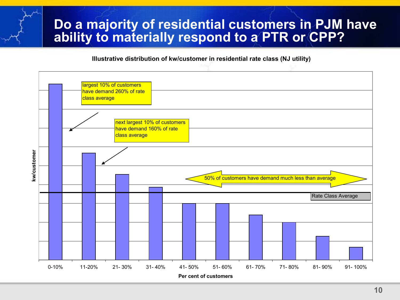#### **Do a majority of residential customers in PJM have ability to materially respond to a PTR or CPP?**

#### **Illustrative distribution of kw/customer in residential rate class (NJ utility)**

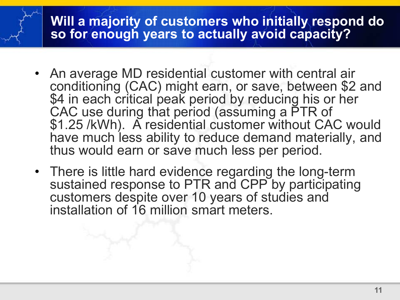#### **Will a majority of customers who initially respond do so for enough years to actually avoid capacity?**

- An average MD residential customer with central air conditioning (CAC) might earn, or save, between \$2 and \$4 in each critical peak period by reducing his or her CAC use during that period (assuming a PTR of \$1.25 /kWh). A residential customer without CAC would have much less ability to reduce demand materially, and thus would earn or save much less per period.
- There is little hard evidence regarding the long-term sustained response to PTR and CPP by participating customers despite over 10 years of studies and installation of 16 million smart meters.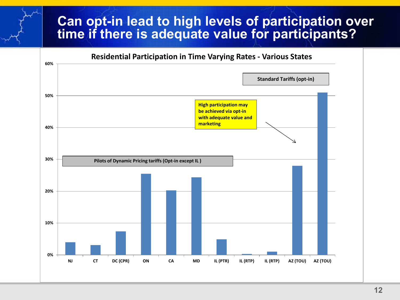#### **Can opt-in lead to high levels of participation over time if there is adequate value for participants?**

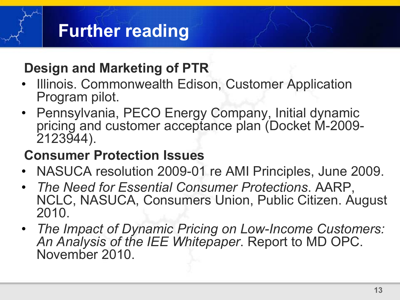# **Further reading**

### **Design and Marketing of PTR**

- Illinois. Commonwealth Edison, Customer Application Program pilot.
- Pennsylvania, PECO Energy Company, Initial dynamic pricing and customer acceptance plan (Docket M-2009- 2123944).

### **Consumer Protection Issues**

- NASUCA resolution 2009-01 re AMI Principles, June 2009.
- *The Need for Essential Consumer Protections*. AARP, NCLC, NASUCA, Consumers Union, Public Citizen. August 2010.
- *The Impact of Dynamic Pricing on Low-Income Customers: An Analysis of the IEE Whitepaper*. Report to MD OPC. November 2010.